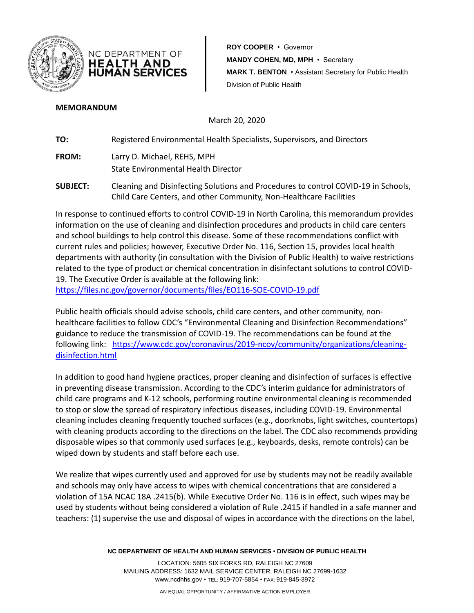



**ROY COOPER** • Governor **MANDY COHEN, MD, MPH** • Secretary **MARK T. BENTON** • Assistant Secretary for Public Health Division of Public Health

## **MEMORANDUM**

March 20, 2020

**TO:** Registered Environmental Health Specialists, Supervisors, and Directors

**FROM:** Larry D. Michael, REHS, MPH State Environmental Health Director

**SUBJECT:** Cleaning and Disinfecting Solutions and Procedures to control COVID-19 in Schools, Child Care Centers, and other Community, Non-Healthcare Facilities

In response to continued efforts to control COVID-19 in North Carolina, this memorandum provides information on the use of cleaning and disinfection procedures and products in child care centers and school buildings to help control this disease. Some of these recommendations conflict with current rules and policies; however, Executive Order No. 116, Section 15, provides local health departments with authority (in consultation with the Division of Public Health) to waive restrictions related to the type of product or chemical concentration in disinfectant solutions to control COVID-19. The Executive Order is available at the following link:

<https://files.nc.gov/governor/documents/files/EO116-SOE-COVID-19.pdf>

Public health officials should advise schools, child care centers, and other community, nonhealthcare facilities to follow CDC's "Environmental Cleaning and Disinfection Recommendations" guidance to reduce the transmission of COVID-19. The recommendations can be found at the following link: [https://www.cdc.gov/coronavirus/2019-ncov/community/organizations/cleaning](https://www.cdc.gov/coronavirus/2019-ncov/community/organizations/cleaning-disinfection.html)[disinfection.html](https://www.cdc.gov/coronavirus/2019-ncov/community/organizations/cleaning-disinfection.html)

In addition to good hand hygiene practices, proper cleaning and disinfection of surfaces is effective in preventing disease transmission. According to the CDC's interim guidance for administrators of child care programs and K-12 schools, performing routine environmental cleaning is recommended to stop or slow the spread of respiratory infectious diseases, including COVID-19. Environmental cleaning includes cleaning frequently touched surfaces (e.g., doorknobs, light switches, countertops) with cleaning products according to the directions on the label. The CDC also recommends providing disposable wipes so that commonly used surfaces (e.g., keyboards, desks, remote controls) can be wiped down by students and staff before each use.

We realize that wipes currently used and approved for use by students may not be readily available and schools may only have access to wipes with chemical concentrations that are considered a violation of 15A NCAC 18A .2415(b). While Executive Order No. 116 is in effect, such wipes may be used by students without being considered a violation of Rule .2415 if handled in a safe manner and teachers: (1) supervise the use and disposal of wipes in accordance with the directions on the label,

**NC DEPARTMENT OF HEALTH AND HUMAN SERVICES** • **DIVISION OF PUBLIC HEALTH**

LOCATION: 5605 SIX FORKS RD, RALEIGH NC 27609 MAILING ADDRESS: 1632 MAIL SERVICE CENTER, RALEIGH NC 27699-1632 www.ncdhhs.gov • TEL: 919-707-5854 • FAX: 919-845-3972